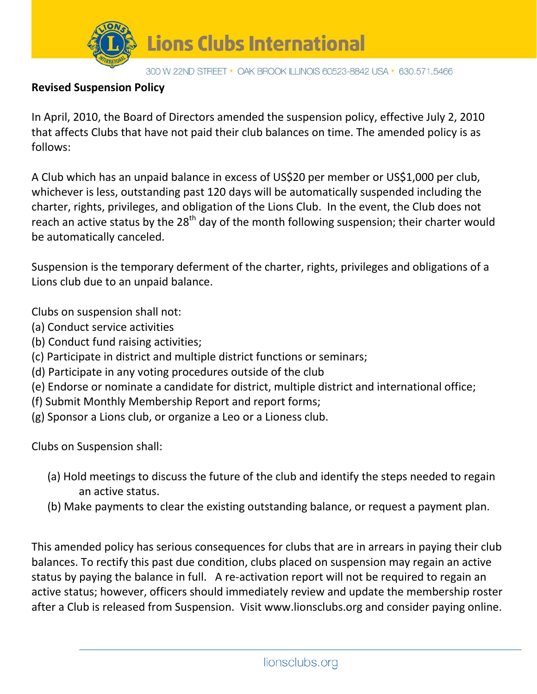

## **Revised Suspension Policy**

In April, 2010, the Board of Directors amended the suspension policy, effective July 2, 2010 that affects Clubs that have not paid their club balances on time. The amended policy is as follows:

A Club which has an unpaid balance in excess of US\$20 per member or US\$1,000 per club, whichever is less, outstanding past 120 days will be automatically suspended including the charter, rights, privileges, and obligation of the Lions Club. In the event, the Club does not reach an active status by the  $28<sup>th</sup>$  day of the month following suspension; their charter would be automatically canceled.

Suspension is the temporary deferment of the charter, rights, privileges and obligations of a Lions club due to an unpaid balance.

Clubs on suspension shall not:

- (a) Conduct service activities
- (b) Conduct fund raising activities;
- (c) Participate in district and multiple district functions or seminars;
- (d) Participate in any voting procedures outside of the club
- (e) Endorse or nominate a candidate for district, multiple district and international office;
- (f) Submit Monthly Membership Report and report forms;
- (g) Sponsor a Lions club, or organize a Leo or a Lioness club.

Clubs on Suspension shall:

- (a) Hold meetings to discuss the future of the club and identify the steps needed to regain an active status.
- (b) Make payments to clear the existing outstanding balance, or request a payment plan.

This amended policy has serious consequences for clubs that are in arrears in paying their club balances. To rectify this past due condition, clubs placed on suspension may regain an active status by paying the balance in full. A re-activation report will not be required to regain an active status; however, officers should immediately review and update the membership roster after a Club is released from Suspension. Visit [www.lionsclubs.org](http://www.lionsclubs.org/) and consider paying online.